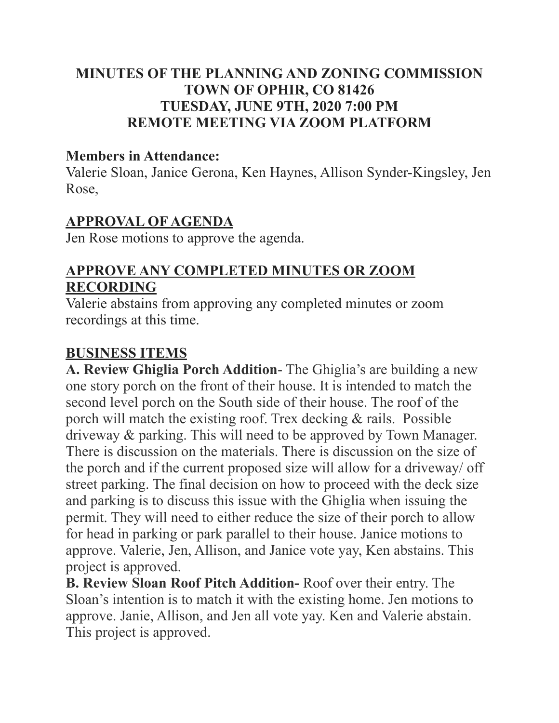## **MINUTES OF THE PLANNING AND ZONING COMMISSION TOWN OF OPHIR, CO 81426 TUESDAY, JUNE 9TH, 2020 7:00 PM REMOTE MEETING VIA ZOOM PLATFORM**

### **Members in Attendance:**

Valerie Sloan, Janice Gerona, Ken Haynes, Allison Synder-Kingsley, Jen Rose,

### **APPROVAL OF AGENDA**

Jen Rose motions to approve the agenda.

# **APPROVE ANY COMPLETED MINUTES OR ZOOM RECORDING**

Valerie abstains from approving any completed minutes or zoom recordings at this time.

### **BUSINESS ITEMS**

**A. Review Ghiglia Porch Addition**- The Ghiglia's are building a new one story porch on the front of their house. It is intended to match the second level porch on the South side of their house. The roof of the porch will match the existing roof. Trex decking & rails. Possible driveway & parking. This will need to be approved by Town Manager. There is discussion on the materials. There is discussion on the size of the porch and if the current proposed size will allow for a driveway/ off street parking. The final decision on how to proceed with the deck size and parking is to discuss this issue with the Ghiglia when issuing the permit. They will need to either reduce the size of their porch to allow for head in parking or park parallel to their house. Janice motions to approve. Valerie, Jen, Allison, and Janice vote yay, Ken abstains. This project is approved.

**B. Review Sloan Roof Pitch Addition-** Roof over their entry. The Sloan's intention is to match it with the existing home. Jen motions to approve. Janie, Allison, and Jen all vote yay. Ken and Valerie abstain. This project is approved.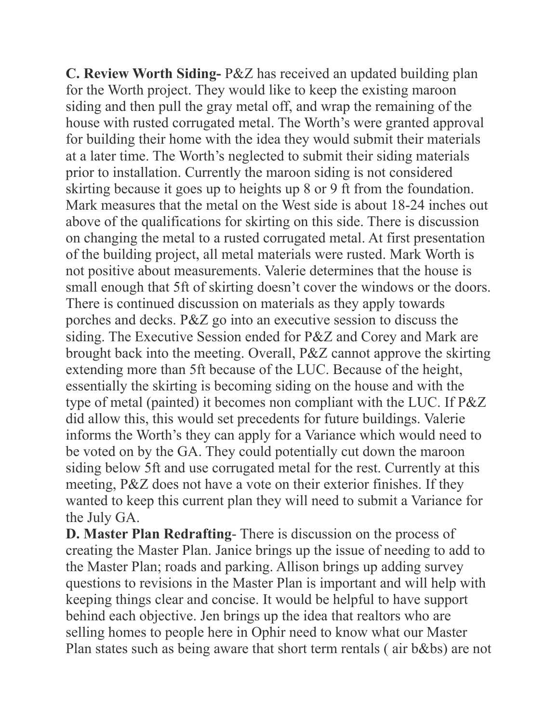**C. Review Worth Siding-** P&Z has received an updated building plan for the Worth project. They would like to keep the existing maroon siding and then pull the gray metal off, and wrap the remaining of the house with rusted corrugated metal. The Worth's were granted approval for building their home with the idea they would submit their materials at a later time. The Worth's neglected to submit their siding materials prior to installation. Currently the maroon siding is not considered skirting because it goes up to heights up 8 or 9 ft from the foundation. Mark measures that the metal on the West side is about 18-24 inches out above of the qualifications for skirting on this side. There is discussion on changing the metal to a rusted corrugated metal. At first presentation of the building project, all metal materials were rusted. Mark Worth is not positive about measurements. Valerie determines that the house is small enough that 5ft of skirting doesn't cover the windows or the doors. There is continued discussion on materials as they apply towards porches and decks. P&Z go into an executive session to discuss the siding. The Executive Session ended for P&Z and Corey and Mark are brought back into the meeting. Overall, P&Z cannot approve the skirting extending more than 5ft because of the LUC. Because of the height, essentially the skirting is becoming siding on the house and with the type of metal (painted) it becomes non compliant with the LUC. If P&Z did allow this, this would set precedents for future buildings. Valerie informs the Worth's they can apply for a Variance which would need to be voted on by the GA. They could potentially cut down the maroon siding below 5ft and use corrugated metal for the rest. Currently at this meeting, P&Z does not have a vote on their exterior finishes. If they wanted to keep this current plan they will need to submit a Variance for the July GA.

**D. Master Plan Redrafting**- There is discussion on the process of creating the Master Plan. Janice brings up the issue of needing to add to the Master Plan; roads and parking. Allison brings up adding survey questions to revisions in the Master Plan is important and will help with keeping things clear and concise. It would be helpful to have support behind each objective. Jen brings up the idea that realtors who are selling homes to people here in Ophir need to know what our Master Plan states such as being aware that short term rentals ( air b&bs) are not